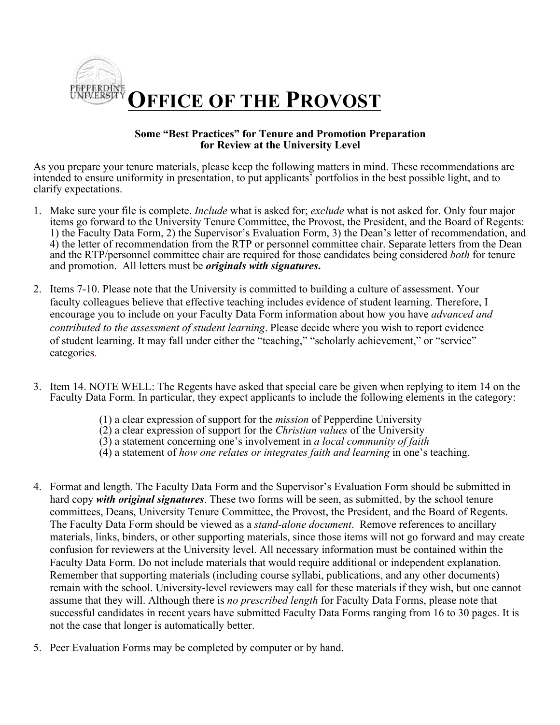

## **Some "Best Practices" for Tenure and Promotion Preparation for Review at the University Level**

As you prepare your tenure materials, please keep the following matters in mind. These recommendations are intended to ensure uniformity in presentation, to put applicants' portfolios in the best possible light, and to clarify expectations.

- 1. Make sure your file is complete. *Include* what is asked for; *exclude* what is not asked for. Only four major items go forward to the University Tenure Committee, the Provost, the President, and the Board of Regents: and the RTP/personnel committee chair are required for those candidates being considered *both* for tenure  and promotion. All letters must be *originals with signatures***.**  1) the Faculty Data Form, 2) the Supervisor's Evaluation Form, 3) the Dean's letter of recommendation, and 4) the letter of recommendation from the RTP or personnel committee chair. Separate letters from the Dean
- of student learning. It may fall under either the "teaching," "scholarly achievement," or "service" 2. Items 7-10. Please note that the University is committed to building a culture of assessment. Your faculty colleagues believe that effective teaching includes evidence of student learning. Therefore, I encourage you to include on your Faculty Data Form information about how you have *advanced and contributed to the assessment of student learning*. Please decide where you wish to report evidence categories.
- 3. Item 14. NOTE WELL: The Regents have asked that special care be given when replying to item 14 on the Faculty Data Form. In particular, they expect applicants to include the following elements in the category:
	- (1) a clear expression of support for the *mission* of Pepperdine University
	- $(2)$  a clear expression of support for the *Christian values* of the University
	- (2) a clear expression of support for the *Christian values* of the University (3) a statement concerning one's involvement in *a local community of faith*
	- (4) a statement of *how one relates or integrates faith and learning* in one's teaching.
- 4. Format and length. The Faculty Data Form and the Supervisor's Evaluation Form should be submitted in committees, Deans, University Tenure Committee, the Provost, the President, and the Board of Regents. remain with the school. University-level reviewers may call for these materials if they wish, but one cannot assume that they will. Although there is *no prescribed length* for Faculty Data Forms, please note that successful candidates in recent years have submitted Faculty Data Forms ranging from 16 to 30 pages. It is not the case that longer is automatically better. hard copy *with original signatures*. These two forms will be seen, as submitted, by the school tenure The Faculty Data Form should be viewed as a *stand-alone document*. Remove references to ancillary materials, links, binders, or other supporting materials, since those items will not go forward and may create confusion for reviewers at the University level. All necessary information must be contained within the Faculty Data Form. Do not include materials that would require additional or independent explanation. Remember that supporting materials (including course syllabi, publications, and any other documents)
- 5. Peer Evaluation Forms may be completed by computer or by hand.